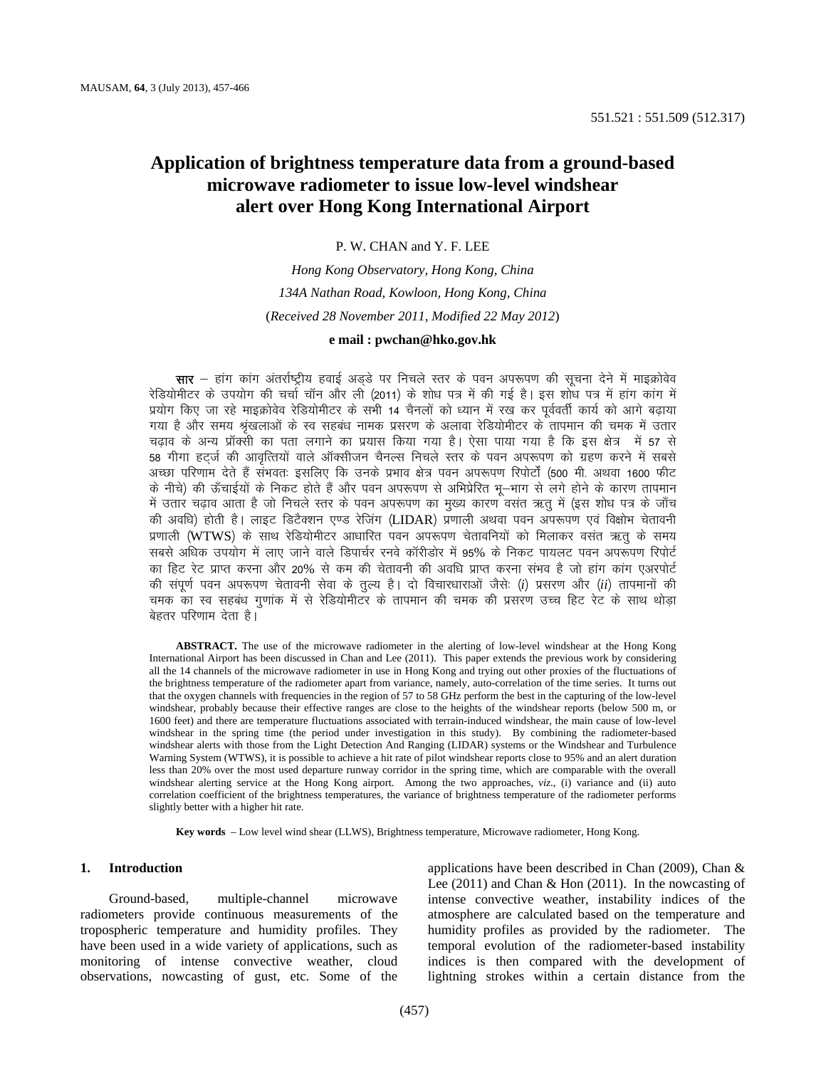# **Application of brightness temperature data from a ground-based microwave radiometer to issue low-level windshear alert over Hong Kong International Airport**

P. W. CHAN and Y. F. LEE

*Hong Kong Observatory, Hong Kong, China 134A Nathan Road, Kowloon, Hong Kong, China*  (*Received 28 November 2011, Modified 22 May 2012*)

# **e mail : [pwchan@hko.gov.hk](mailto:pwchan@hko.gov.hk)**

सार – हांग कांग अंतर्राष्ट्रीय हवाई अड़डे पर निचले स्तर के पवन अपरूपण की सूचना देने में माइक्रोवेव रेडियोमीटर के उपयोग की चर्चा चॉन और ली (2011) के शोध पत्र में की गई है। इस शोध पत्र में हांग कांग में प्रयोग किए जा रहे माइक्रोवेव रेडियोमीटर के सभी 14 चैनलों को ध्यान में रख कर पर्ववर्ती कार्य को आगे बढाया गया है और समय श्रृंखलाओं के स्व सहबंध नामक प्रसरण के अलावा रेडियोमीटर के तापमान की चमक में उतार चढ़ाव के अन्य प्रॉक्सी का पता लगाने का प्रयास किया गया है। ऐसा पाया गया है कि इस क्षेत्र में 57 से 58 गीगा हटर्ज की आवृत्तियों वाले ऑक्सीजन चैनल्स निचले स्तर के पवन अपरूपण को ग्रहण करने में सबसे अच्छा परिणाम देते हैं संभवतः इसलिए कि उनके प्रभाव क्षेत्र पवन अपरूपण रिपोर्टों (500 मी. अथवा 1600 फीट के नीचे) की ऊँचाईयों के निकट होते हैं और पवन अपरूपण से अभिप्रेरित भू—भाग से लगे होने के कारण तापमान में उतार चढ़ाव आता है जो निचले स्तर के पवन अपरूपण का मुख्य कारण वसंत ऋतु में (इस शोध पत्र के जाँच की अवधि) होती है। लाइट डिटैक्शन एण्ड रेजिंग (LIDAR) प्रणाली अथवा पवन अपरूपण एवं विक्षोभ चेतावनी प्रणाली (WTWS) के साथ रेडियोमीटर आधारित पवन अपरूपण चेतावनियों को मिलाकर वसंत ऋतू के समय सबसे अधिक उपयोग में लाए जाने वाले डिपार्चर रनवे कॉरीडोर में 95% के निकट पायलट पवन अपरूपण रिपोर्ट का हिट रेट प्राप्त करना और 20% से कम की चेतावनी की अवधि प्राप्त करना संभव है जो हांग कांग एअरपोर्ट की संपूर्ण पवन अपरूपण चेतावनी सेवा के तुल्य है। दो विचारधाराओं जैसेः (i) प्रसरण और (ii) तापमानों की चमक का स्व सहबंध गुणांक में से रेडियोमीटर के तापमान की चमक की प्रसरण उच्च हिट रेट के साथ थोड़ा बेहतर परिणाम देता है।

**ABSTRACT.** The use of the microwave radiometer in the alerting of low-level windshear at the Hong Kong International Airport has been discussed in Chan and Lee (2011). This paper extends the previous work by considering all the 14 channels of the microwave radiometer in use in Hong Kong and trying out other proxies of the fluctuations of the brightness temperature of the radiometer apart from variance, namely, auto-correlation of the time series. It turns out that the oxygen channels with frequencies in the region of 57 to 58 GHz perform the best in the capturing of the low-level windshear, probably because their effective ranges are close to the heights of the windshear reports (below 500 m, or 1600 feet) and there are temperature fluctuations associated with terrain-induced windshear, the main cause of low-level windshear in the spring time (the period under investigation in this study). By combining the radiometer-based windshear alerts with those from the Light Detection And Ranging (LIDAR) systems or the Windshear and Turbulence Warning System (WTWS), it is possible to achieve a hit rate of pilot windshear reports close to 95% and an alert duration less than 20% over the most used departure runway corridor in the spring time, which are comparable with the overall windshear alerting service at the Hong Kong airport. Among the two approaches, *viz.*, (i) variance and (ii) auto correlation coefficient of the brightness temperatures, the variance of brightness temperature of the radiometer performs slightly better with a higher hit rate.

**Key words** – Low level wind shear (LLWS), Brightness temperature, Microwave radiometer, Hong Kong.

## **1. Introduction**

Ground-based, multiple-channel microwave radiometers provide continuous measurements of the tropospheric temperature and humidity profiles. They have been used in a wide variety of applications, such as monitoring of intense convective weather, cloud observations, nowcasting of gust, etc. Some of the applications have been described in Chan (2009), Chan & Lee (2011) and Chan & Hon (2011). In the nowcasting of intense convective weather, instability indices of the atmosphere are calculated based on the temperature and humidity profiles as provided by the radiometer. The temporal evolution of the radiometer-based instability indices is then compared with the development of lightning strokes within a certain distance from the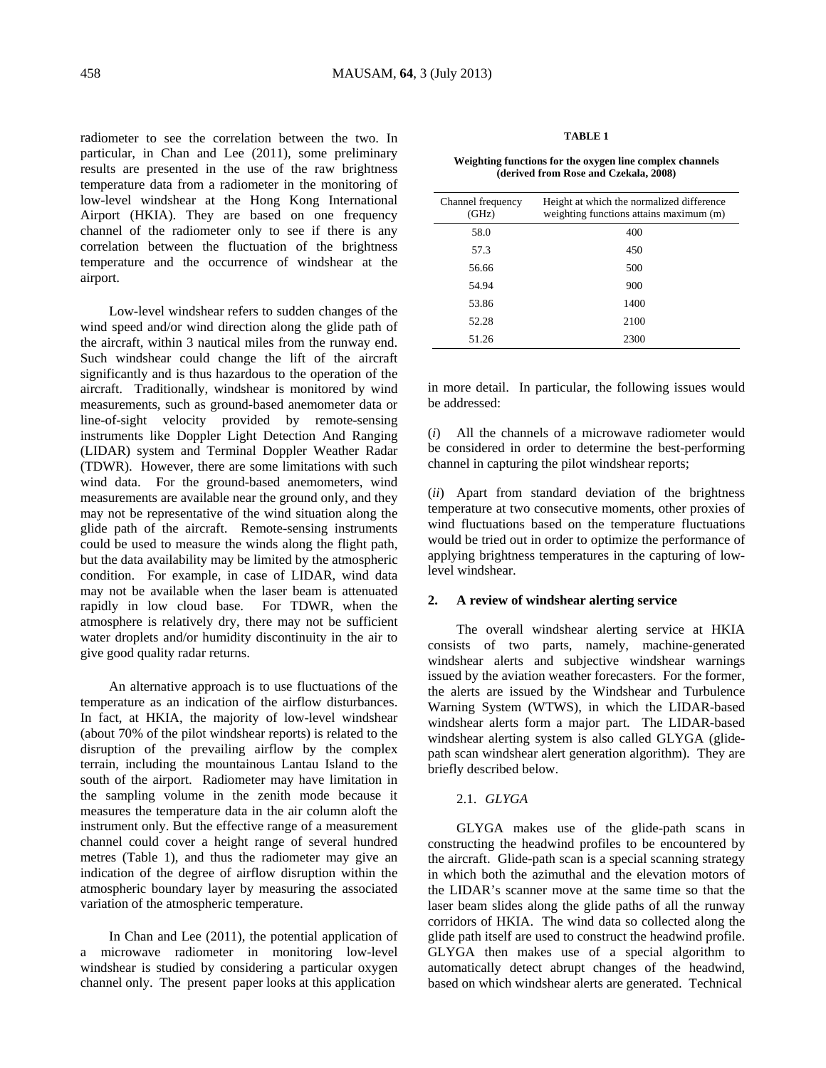radiometer to see the correlation between the two. In particular, in Chan and Lee (2011), some preliminary results are presented in the use of the raw brightness temperature data from a radiometer in the monitoring of low-level windshear at the Hong Kong International Airport (HKIA). They are based on one frequency channel of the radiometer only to see if there is any correlation between the fluctuation of the brightness temperature and the occurrence of windshear at the airport.

Low-level windshear refers to sudden changes of the wind speed and/or wind direction along the glide path of the aircraft, within 3 nautical miles from the runway end. Such windshear could change the lift of the aircraft significantly and is thus hazardous to the operation of the aircraft. Traditionally, windshear is monitored by wind measurements, such as ground-based anemometer data or line-of-sight velocity provided by remote-sensing instruments like Doppler Light Detection And Ranging (LIDAR) system and Terminal Doppler Weather Radar (TDWR). However, there are some limitations with such wind data. For the ground-based anemometers, wind measurements are available near the ground only, and they may not be representative of the wind situation along the glide path of the aircraft. Remote-sensing instruments could be used to measure the winds along the flight path, but the data availability may be limited by the atmospheric condition. For example, in case of LIDAR, wind data may not be available when the laser beam is attenuated rapidly in low cloud base. For TDWR, when the atmosphere is relatively dry, there may not be sufficient water droplets and/or humidity discontinuity in the air to give good quality radar returns.

An alternative approach is to use fluctuations of the temperature as an indication of the airflow disturbances. In fact, at HKIA, the majority of low-level windshear (about 70% of the pilot windshear reports) is related to the disruption of the prevailing airflow by the complex terrain, including the mountainous Lantau Island to the south of the airport. Radiometer may have limitation in the sampling volume in the zenith mode because it measures the temperature data in the air column aloft the instrument only. But the effective range of a measurement channel could cover a height range of several hundred metres (Table 1), and thus the radiometer may give an indication of the degree of airflow disruption within the atmospheric boundary layer by measuring the associated variation of the atmospheric temperature.

In Chan and Lee (2011), the potential application of a microwave radiometer in monitoring low-level windshear is studied by considering a particular oxygen channel only. The present paper looks at this application

#### **TABLE 1**

#### **Weighting functions for the oxygen line complex channels (derived from Rose and Czekala, 2008)**

| Channel frequency<br>(GHz) | Height at which the normalized difference<br>weighting functions attains maximum (m) |  |  |
|----------------------------|--------------------------------------------------------------------------------------|--|--|
| 58.0                       | 400                                                                                  |  |  |
| 57.3                       | 450                                                                                  |  |  |
| 56.66                      | 500                                                                                  |  |  |
| 54.94                      | 900                                                                                  |  |  |
| 53.86                      | 1400                                                                                 |  |  |
| 52.28                      | 2100                                                                                 |  |  |
| 51.26                      | 2300                                                                                 |  |  |

in more detail. In particular, the following issues would be addressed:

(*i*) All the channels of a microwave radiometer would be considered in order to determine the best-performing channel in capturing the pilot windshear reports;

(*ii*) Apart from standard deviation of the brightness temperature at two consecutive moments, other proxies of wind fluctuations based on the temperature fluctuations would be tried out in order to optimize the performance of applying brightness temperatures in the capturing of lowlevel windshear.

# **2. A review of windshear alerting service**

The overall windshear alerting service at HKIA consists of two parts, namely, machine-generated windshear alerts and subjective windshear warnings issued by the aviation weather forecasters. For the former, the alerts are issued by the Windshear and Turbulence Warning System (WTWS), in which the LIDAR-based windshear alerts form a major part. The LIDAR-based windshear alerting system is also called GLYGA (glidepath scan windshear alert generation algorithm). They are briefly described below.

# 2.1. *GLYGA*

GLYGA makes use of the glide-path scans in constructing the headwind profiles to be encountered by the aircraft. Glide-path scan is a special scanning strategy in which both the azimuthal and the elevation motors of the LIDAR's scanner move at the same time so that the laser beam slides along the glide paths of all the runway corridors of HKIA. The wind data so collected along the glide path itself are used to construct the headwind profile. GLYGA then makes use of a special algorithm to automatically detect abrupt changes of the headwind, based on which windshear alerts are generated. Technical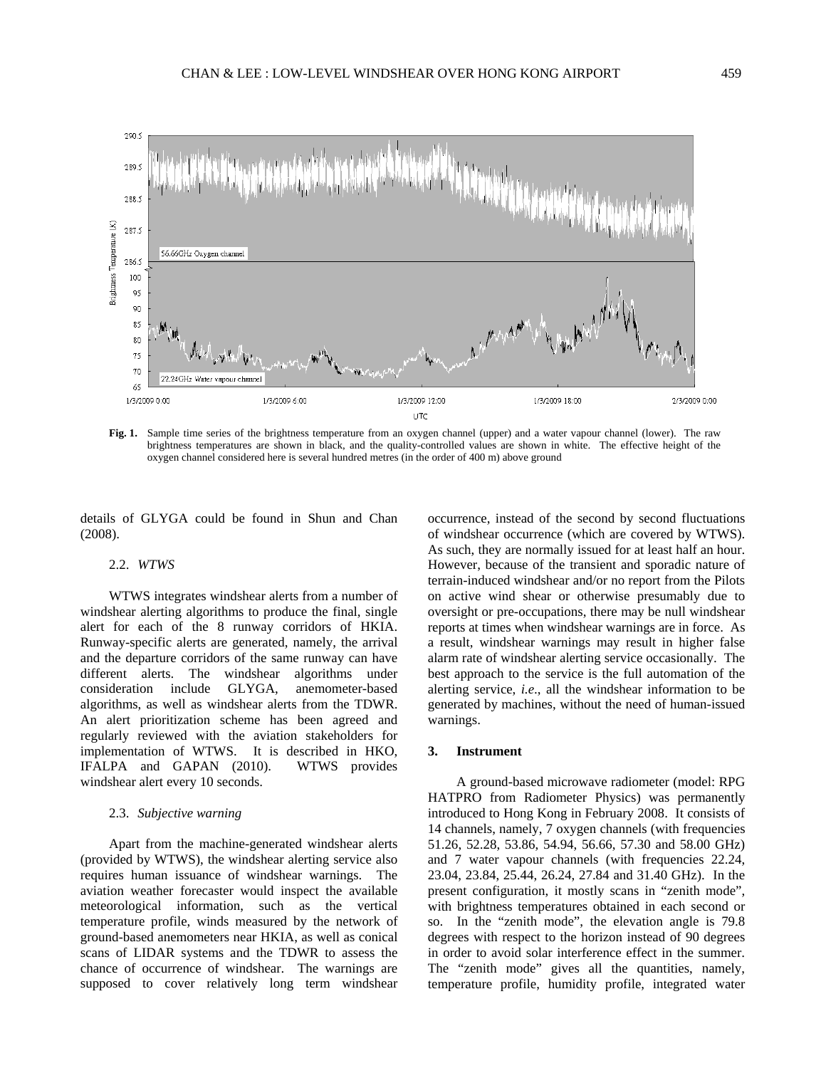

**Fig. 1.** Sample time series of the brightness temperature from an oxygen channel (upper) and a water vapour channel (lower). The raw brightness temperatures are shown in black, and the quality-controlled values are shown in white. The effective height of the oxygen channel considered here is several hundred metres (in the order of 400 m) above ground

details of GLYGA could be found in Shun and Chan (2008).

#### 2.2. *WTWS*

WTWS integrates windshear alerts from a number of windshear alerting algorithms to produce the final, single alert for each of the 8 runway corridors of HKIA. Runway-specific alerts are generated, namely, the arrival and the departure corridors of the same runway can have different alerts. The windshear algorithms under consideration include GLYGA, anemometer-based algorithms, as well as windshear alerts from the TDWR. An alert prioritization scheme has been agreed and regularly reviewed with the aviation stakeholders for implementation of WTWS. It is described in HKO, IFALPA and GAPAN (2010). WTWS provides windshear alert every 10 seconds.

# 2.3. *Subjective warning*

Apart from the machine-generated windshear alerts (provided by WTWS), the windshear alerting service also requires human issuance of windshear warnings. The aviation weather forecaster would inspect the available meteorological information, such as the vertical temperature profile, winds measured by the network of ground-based anemometers near HKIA, as well as conical scans of LIDAR systems and the TDWR to assess the chance of occurrence of windshear. The warnings are supposed to cover relatively long term windshear

occurrence, instead of the second by second fluctuations of windshear occurrence (which are covered by WTWS). As such, they are normally issued for at least half an hour. However, because of the transient and sporadic nature of terrain-induced windshear and/or no report from the Pilots on active wind shear or otherwise presumably due to oversight or pre-occupations, there may be null windshear reports at times when windshear warnings are in force. As a result, windshear warnings may result in higher false alarm rate of windshear alerting service occasionally. The best approach to the service is the full automation of the alerting service, *i.e*., all the windshear information to be generated by machines, without the need of human-issued warnings.

## **3. Instrument**

A ground-based microwave radiometer (model: RPG HATPRO from Radiometer Physics) was permanently introduced to Hong Kong in February 2008. It consists of 14 channels, namely, 7 oxygen channels (with frequencies 51.26, 52.28, 53.86, 54.94, 56.66, 57.30 and 58.00 GHz) and 7 water vapour channels (with frequencies 22.24, 23.04, 23.84, 25.44, 26.24, 27.84 and 31.40 GHz). In the present configuration, it mostly scans in "zenith mode", with brightness temperatures obtained in each second or so. In the "zenith mode", the elevation angle is 79.8 degrees with respect to the horizon instead of 90 degrees in order to avoid solar interference effect in the summer. The "zenith mode" gives all the quantities, namely, temperature profile, humidity profile, integrated water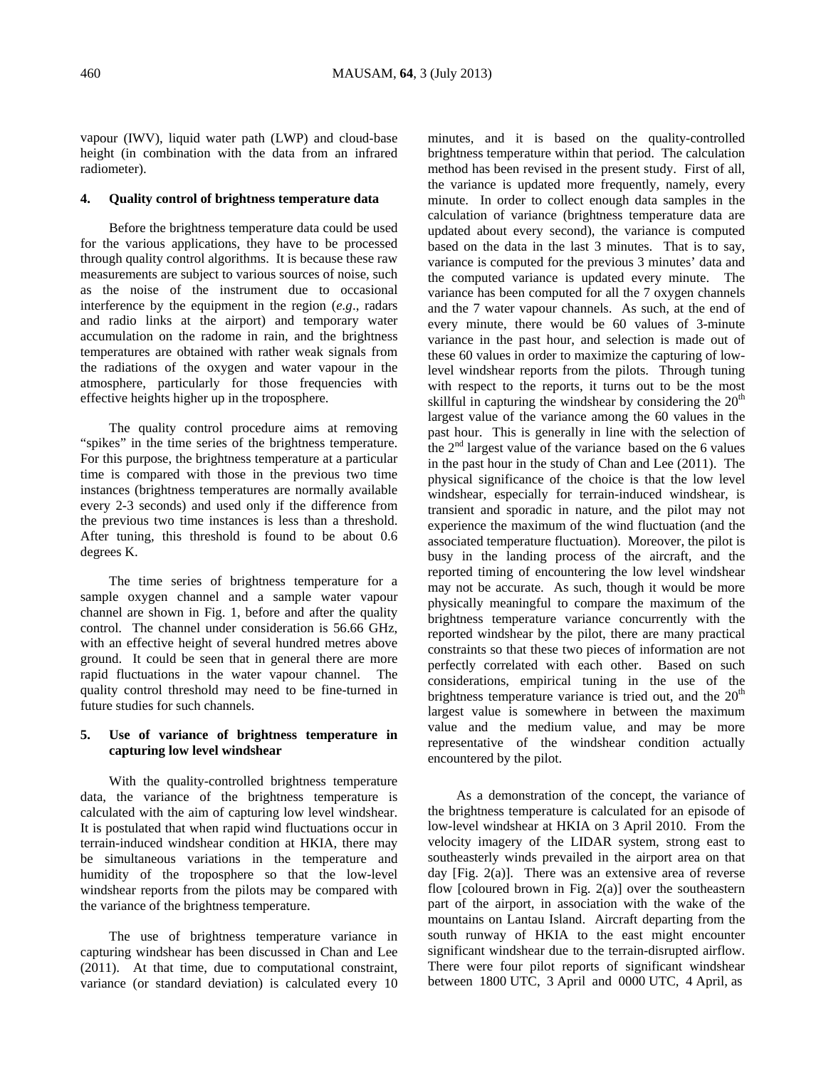vapour (IWV), liquid water path (LWP) and cloud-base height (in combination with the data from an infrared radiometer).

## **4. Quality control of brightness temperature data**

Before the brightness temperature data could be used for the various applications, they have to be processed through quality control algorithms. It is because these raw measurements are subject to various sources of noise, such as the noise of the instrument due to occasional interference by the equipment in the region (*e.g*., radars and radio links at the airport) and temporary water accumulation on the radome in rain, and the brightness temperatures are obtained with rather weak signals from the radiations of the oxygen and water vapour in the atmosphere, particularly for those frequencies with effective heights higher up in the troposphere.

The quality control procedure aims at removing "spikes" in the time series of the brightness temperature. For this purpose, the brightness temperature at a particular time is compared with those in the previous two time instances (brightness temperatures are normally available every 2-3 seconds) and used only if the difference from the previous two time instances is less than a threshold. After tuning, this threshold is found to be about 0.6 degrees K.

The time series of brightness temperature for a sample oxygen channel and a sample water vapour channel are shown in Fig. 1, before and after the quality control. The channel under consideration is 56.66 GHz, with an effective height of several hundred metres above ground. It could be seen that in general there are more rapid fluctuations in the water vapour channel. The quality control threshold may need to be fine-turned in future studies for such channels.

# **5. Use of variance of brightness temperature in capturing low level windshear**

With the quality-controlled brightness temperature data, the variance of the brightness temperature is calculated with the aim of capturing low level windshear. It is postulated that when rapid wind fluctuations occur in terrain-induced windshear condition at HKIA, there may be simultaneous variations in the temperature and humidity of the troposphere so that the low-level windshear reports from the pilots may be compared with the variance of the brightness temperature.

The use of brightness temperature variance in capturing windshear has been discussed in Chan and Lee (2011). At that time, due to computational constraint, variance (or standard deviation) is calculated every 10

minutes, and it is based on the quality-controlled brightness temperature within that period. The calculation method has been revised in the present study. First of all, the variance is updated more frequently, namely, every minute. In order to collect enough data samples in the calculation of variance (brightness temperature data are updated about every second), the variance is computed based on the data in the last 3 minutes. That is to say, variance is computed for the previous 3 minutes' data and the computed variance is updated every minute. The variance has been computed for all the 7 oxygen channels and the 7 water vapour channels. As such, at the end of every minute, there would be 60 values of 3-minute variance in the past hour, and selection is made out of these 60 values in order to maximize the capturing of lowlevel windshear reports from the pilots. Through tuning with respect to the reports, it turns out to be the most skillful in capturing the windshear by considering the  $20<sup>th</sup>$ largest value of the variance among the 60 values in the past hour. This is generally in line with the selection of the  $2<sup>nd</sup>$  largest value of the variance based on the 6 values in the past hour in the study of Chan and Lee (2011). The physical significance of the choice is that the low level windshear, especially for terrain-induced windshear, is transient and sporadic in nature, and the pilot may not experience the maximum of the wind fluctuation (and the associated temperature fluctuation). Moreover, the pilot is busy in the landing process of the aircraft, and the reported timing of encountering the low level windshear may not be accurate. As such, though it would be more physically meaningful to compare the maximum of the brightness temperature variance concurrently with the reported windshear by the pilot, there are many practical constraints so that these two pieces of information are not perfectly correlated with each other. Based on such considerations, empirical tuning in the use of the brightness temperature variance is tried out, and the  $20<sup>th</sup>$ largest value is somewhere in between the maximum value and the medium value, and may be more representative of the windshear condition actually encountered by the pilot.

As a demonstration of the concept, the variance of the brightness temperature is calculated for an episode of low-level windshear at HKIA on 3 April 2010. From the velocity imagery of the LIDAR system, strong east to southeasterly winds prevailed in the airport area on that day [Fig. 2(a)]. There was an extensive area of reverse flow [coloured brown in Fig.  $2(a)$ ] over the southeastern part of the airport, in association with the wake of the mountains on Lantau Island. Aircraft departing from the south runway of HKIA to the east might encounter significant windshear due to the terrain-disrupted airflow. There were four pilot reports of significant windshear between 1800 UTC, 3 April and 0000 UTC, 4 April, as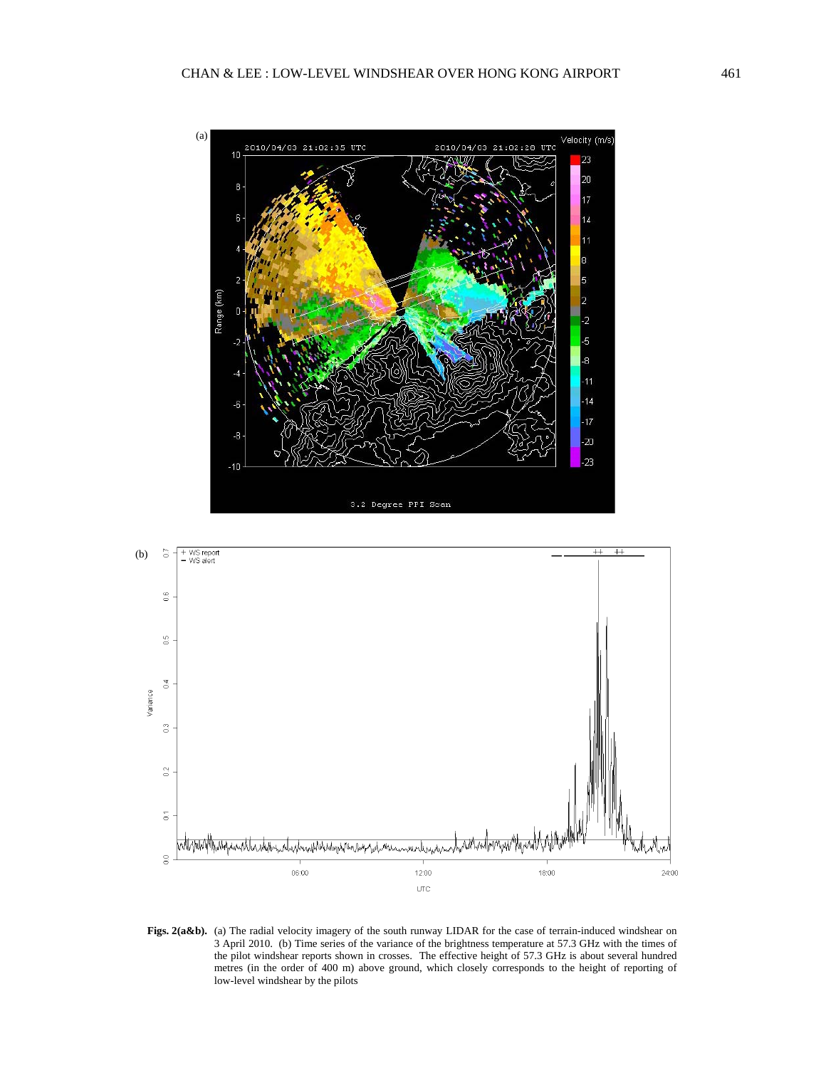



Figs. 2(a&b). (a) The radial velocity imagery of the south runway LIDAR for the case of terrain-induced windshear on 3 April 2010. (b) Time series of the variance of the brightness temperature at 57.3 GHz with the times of the pilot windshear reports shown in crosses. The effective height of 57.3 GHz is about several hundred metres (in the order of 400 m) above ground, which closely corresponds to the height of reporting of low-level windshear by the pilots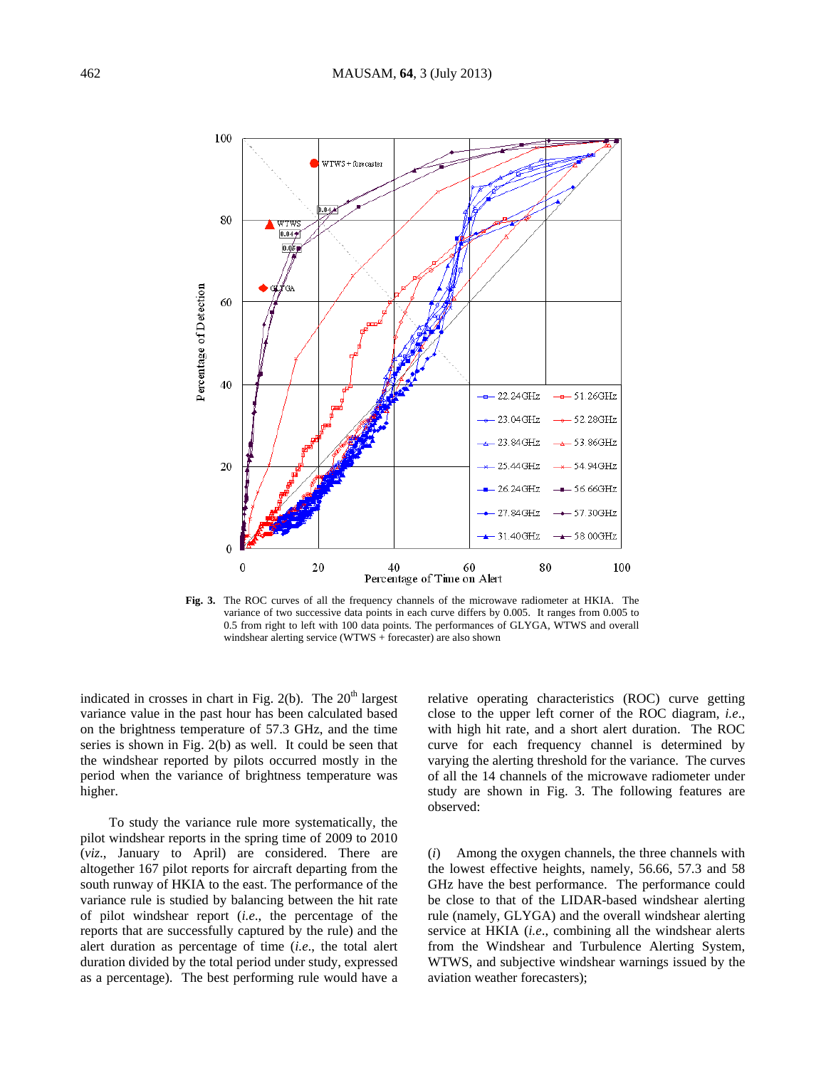

**Fig. 3.** The ROC curves of all the frequency channels of the microwave radiometer at HKIA. The variance of two successive data points in each curve differs by 0.005. It ranges from 0.005 to 0.5 from right to left with 100 data points. The performances of GLYGA, WTWS and overall windshear alerting service (WTWS + forecaster) are also shown

indicated in crosses in chart in Fig. 2(b). The  $20<sup>th</sup>$  largest variance value in the past hour has been calculated based on the brightness temperature of 57.3 GHz, and the time series is shown in Fig. 2(b) as well. It could be seen that the windshear reported by pilots occurred mostly in the period when the variance of brightness temperature was higher.

To study the variance rule more systematically, the pilot windshear reports in the spring time of 2009 to 2010 (*viz*., January to April) are considered. There are altogether 167 pilot reports for aircraft departing from the south runway of HKIA to the east. The performance of the variance rule is studied by balancing between the hit rate of pilot windshear report (*i.e*., the percentage of the reports that are successfully captured by the rule) and the alert duration as percentage of time (*i.e*., the total alert duration divided by the total period under study, expressed as a percentage). The best performing rule would have a relative operating characteristics (ROC) curve getting close to the upper left corner of the ROC diagram, *i.e*., with high hit rate, and a short alert duration. The ROC curve for each frequency channel is determined by varying the alerting threshold for the variance. The curves of all the 14 channels of the microwave radiometer under study are shown in Fig. 3. The following features are observed:

(*i*) Among the oxygen channels, the three channels with the lowest effective heights, namely, 56.66, 57.3 and 58 GHz have the best performance. The performance could be close to that of the LIDAR-based windshear alerting rule (namely, GLYGA) and the overall windshear alerting service at HKIA (*i.e*., combining all the windshear alerts from the Windshear and Turbulence Alerting System, WTWS, and subjective windshear warnings issued by the aviation weather forecasters);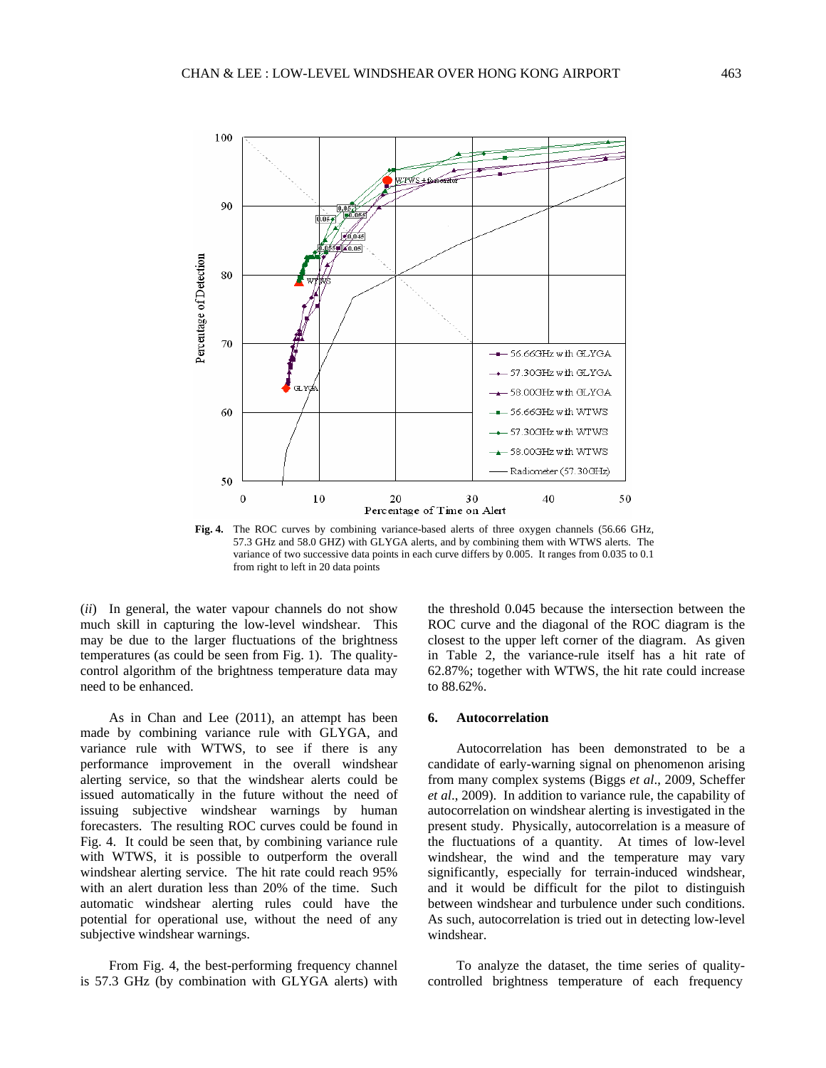

**Fig. 4.** The ROC curves by combining variance-based alerts of three oxygen channels (56.66 GHz, 57.3 GHz and 58.0 GHZ) with GLYGA alerts, and by combining them with WTWS alerts. The variance of two successive data points in each curve differs by 0.005. It ranges from 0.035 to 0.1 from right to left in 20 data points

(*ii*) In general, the water vapour channels do not show much skill in capturing the low-level windshear. This may be due to the larger fluctuations of the brightness temperatures (as could be seen from Fig. 1). The qualitycontrol algorithm of the brightness temperature data may need to be enhanced.

As in Chan and Lee (2011), an attempt has been made by combining variance rule with GLYGA, and variance rule with WTWS, to see if there is any performance improvement in the overall windshear alerting service, so that the windshear alerts could be issued automatically in the future without the need of issuing subjective windshear warnings by human forecasters. The resulting ROC curves could be found in Fig. 4. It could be seen that, by combining variance rule with WTWS, it is possible to outperform the overall windshear alerting service. The hit rate could reach 95% with an alert duration less than 20% of the time. Such automatic windshear alerting rules could have the potential for operational use, without the need of any subjective windshear warnings.

From Fig. 4, the best-performing frequency channel is 57.3 GHz (by combination with GLYGA alerts) with

the threshold 0.045 because the intersection between the ROC curve and the diagonal of the ROC diagram is the closest to the upper left corner of the diagram. As given in Table 2, the variance-rule itself has a hit rate of 62.87%; together with WTWS, the hit rate could increase to 88.62%.

## **6. Autocorrelation**

Autocorrelation has been demonstrated to be a candidate of early-warning signal on phenomenon arising from many complex systems (Biggs *et al*., 2009, Scheffer *et al*., 2009). In addition to variance rule, the capability of autocorrelation on windshear alerting is investigated in the present study. Physically, autocorrelation is a measure of the fluctuations of a quantity. At times of low-level windshear, the wind and the temperature may vary significantly, especially for terrain-induced windshear, and it would be difficult for the pilot to distinguish between windshear and turbulence under such conditions. As such, autocorrelation is tried out in detecting low-level windshear.

To analyze the dataset, the time series of qualitycontrolled brightness temperature of each frequency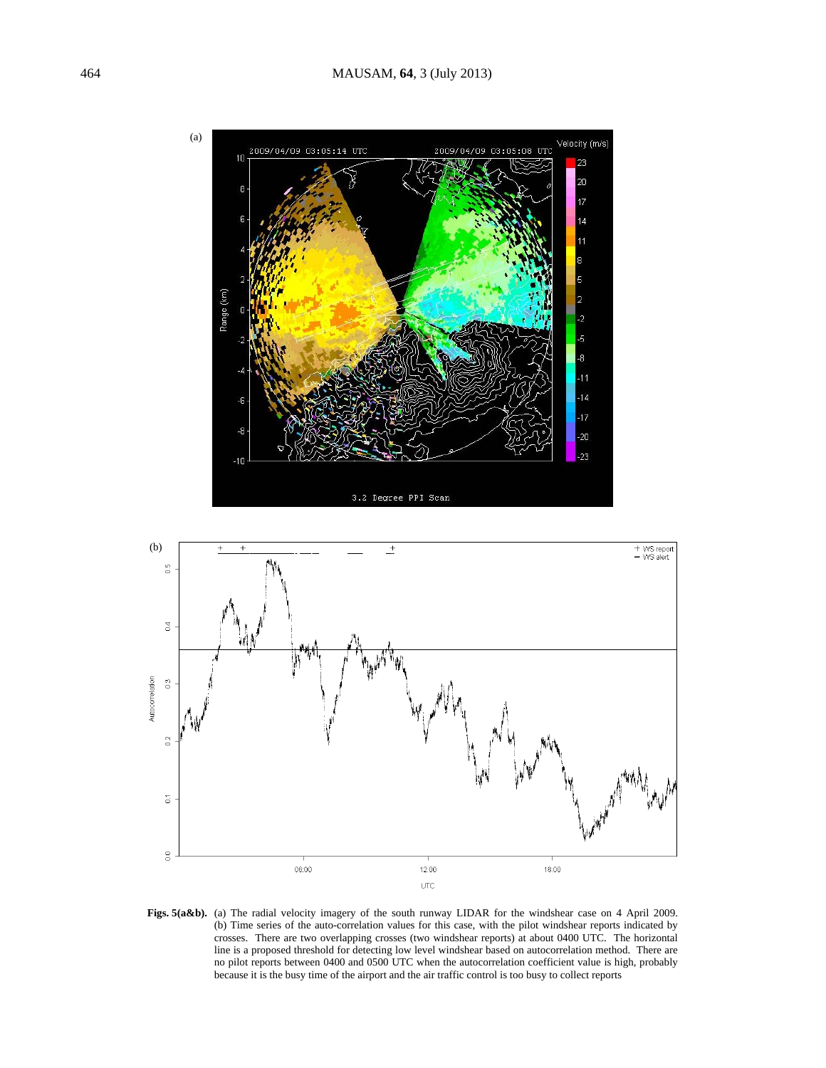



Figs. 5(a&b). (a) The radial velocity imagery of the south runway LIDAR for the windshear case on 4 April 2009. (b) Time series of the auto-correlation values for this case, with the pilot windshear reports indicated by crosses. There are two overlapping crosses (two windshear reports) at about 0400 UTC. The horizontal line is a proposed threshold for detecting low level windshear based on autocorrelation method. There are no pilot reports between 0400 and 0500 UTC when the autocorrelation coefficient value is high, probably because it is the busy time of the airport and the air traffic control is too busy to collect reports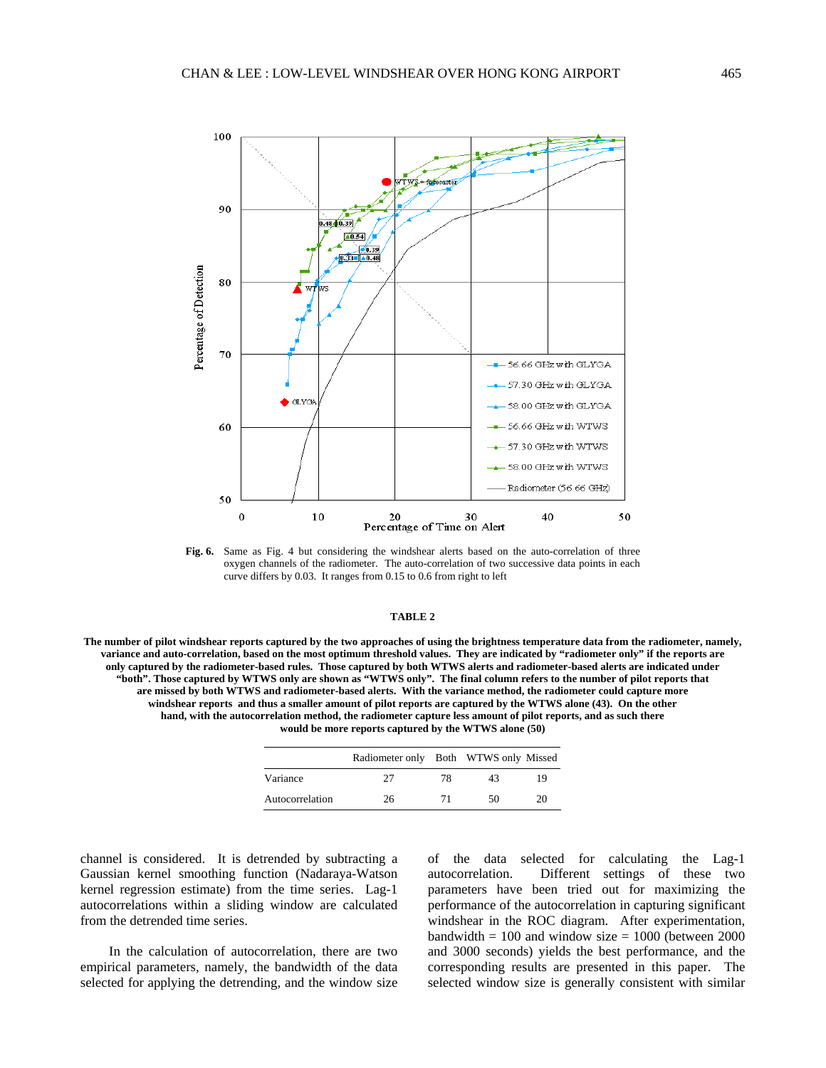

**Fig. 6.** Same as Fig. 4 but considering the windshear alerts based on the auto-correlation of three oxygen channels of the radiometer. The auto-correlation of two successive data points in each curve differs by 0.03. It ranges from 0.15 to 0.6 from right to left

## **TABLE 2**

**The number of pilot windshear reports captured by the two approaches of using the brightness temperature data from the radiometer, namely, variance and auto-correlation, based on the most optimum threshold values. They are indicated by "radiometer only" if the reports are only captured by the radiometer-based rules. Those captured by both WTWS alerts and radiometer-based alerts are indicated under "both". Those captured by WTWS only are shown as "WTWS only". The final column refers to the number of pilot reports that are missed by both WTWS and radiometer-based alerts. With the variance method, the radiometer could capture more windshear reports and thus a smaller amount of pilot reports are captured by the WTWS alone (43). On the other hand, with the autocorrelation method, the radiometer capture less amount of pilot reports, and as such there would be more reports captured by the WTWS alone (50)** 

|                 | Radiometer only Both WTWS only Missed |    |    |    |
|-----------------|---------------------------------------|----|----|----|
| Variance        | 27                                    | 78 | 43 | 19 |
| Autocorrelation | 26                                    | 71 | 50 | 20 |

channel is considered. It is detrended by subtracting a Gaussian kernel smoothing function (Nadaraya-Watson kernel regression estimate) from the time series. Lag-1 autocorrelations within a sliding window are calculated from the detrended time series.

In the calculation of autocorrelation, there are two empirical parameters, namely, the bandwidth of the data selected for applying the detrending, and the window size of the data selected for calculating the Lag-1 autocorrelation. Different settings of these two parameters have been tried out for maximizing the performance of the autocorrelation in capturing significant windshear in the ROC diagram. After experimentation, bandwidth  $= 100$  and window size  $= 1000$  (between 2000) and 3000 seconds) yields the best performance, and the corresponding results are presented in this paper. The selected window size is generally consistent with similar